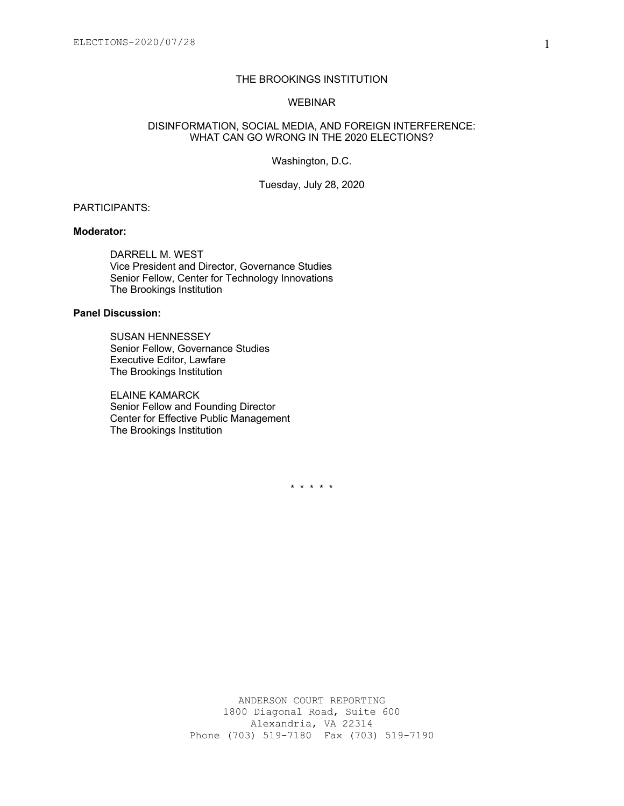# THE BROOKINGS INSTITUTION

### WEBINAR

### DISINFORMATION, SOCIAL MEDIA, AND FOREIGN INTERFERENCE: WHAT CAN GO WRONG IN THE 2020 ELECTIONS?

Washington, D.C.

Tuesday, July 28, 2020

# PARTICIPANTS:

### **Moderator:**

DARRELL M. WEST Vice President and Director, Governance Studies Senior Fellow, Center for Technology Innovations The Brookings Institution

# **Panel Discussion:**

SUSAN HENNESSEY Senior Fellow, Governance Studies Executive Editor, Lawfare The Brookings Institution

ELAINE KAMARCK Senior Fellow and Founding Director Center for Effective Public Management The Brookings Institution

\* \* \* \* \*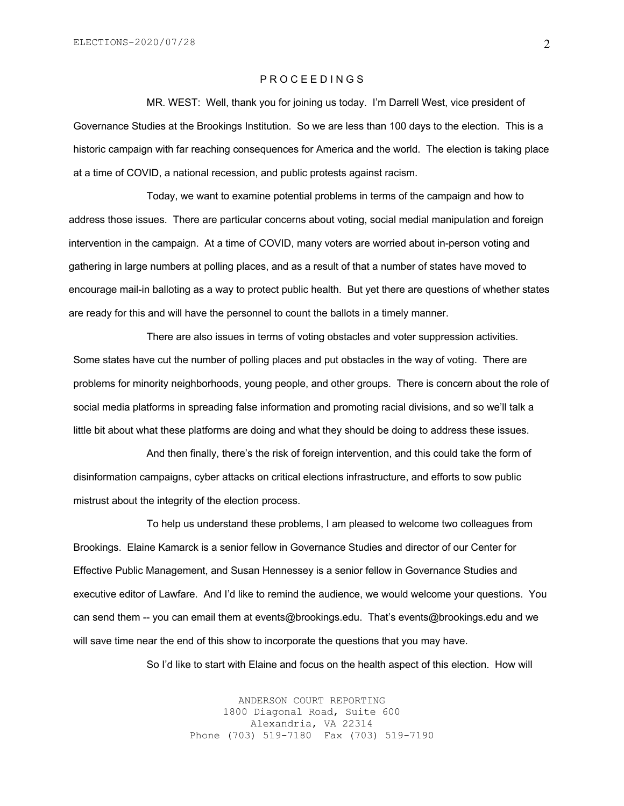## P R O C E E D I N G S

MR. WEST: Well, thank you for joining us today. I'm Darrell West, vice president of Governance Studies at the Brookings Institution. So we are less than 100 days to the election. This is a historic campaign with far reaching consequences for America and the world. The election is taking place at a time of COVID, a national recession, and public protests against racism.

Today, we want to examine potential problems in terms of the campaign and how to address those issues. There are particular concerns about voting, social medial manipulation and foreign intervention in the campaign. At a time of COVID, many voters are worried about in-person voting and gathering in large numbers at polling places, and as a result of that a number of states have moved to encourage mail-in balloting as a way to protect public health. But yet there are questions of whether states are ready for this and will have the personnel to count the ballots in a timely manner.

There are also issues in terms of voting obstacles and voter suppression activities. Some states have cut the number of polling places and put obstacles in the way of voting. There are problems for minority neighborhoods, young people, and other groups. There is concern about the role of social media platforms in spreading false information and promoting racial divisions, and so we'll talk a little bit about what these platforms are doing and what they should be doing to address these issues.

And then finally, there's the risk of foreign intervention, and this could take the form of disinformation campaigns, cyber attacks on critical elections infrastructure, and efforts to sow public mistrust about the integrity of the election process.

To help us understand these problems, I am pleased to welcome two colleagues from Brookings. Elaine Kamarck is a senior fellow in Governance Studies and director of our Center for Effective Public Management, and Susan Hennessey is a senior fellow in Governance Studies and executive editor of Lawfare. And I'd like to remind the audience, we would welcome your questions. You can send them -- you can email them at events@brookings.edu. That's events@brookings.edu and we will save time near the end of this show to incorporate the questions that you may have.

So I'd like to start with Elaine and focus on the health aspect of this election. How will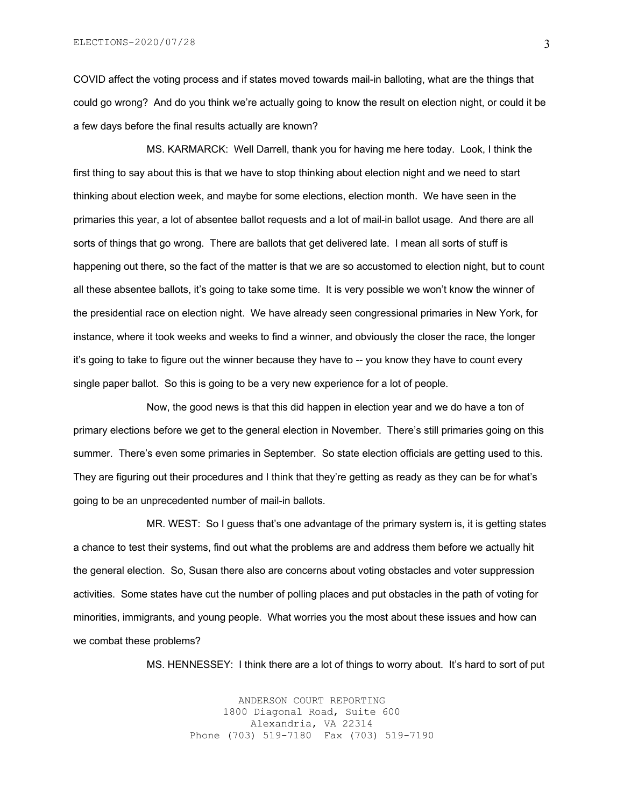COVID affect the voting process and if states moved towards mail-in balloting, what are the things that could go wrong? And do you think we're actually going to know the result on election night, or could it be a few days before the final results actually are known?

MS. KARMARCK: Well Darrell, thank you for having me here today. Look, I think the first thing to say about this is that we have to stop thinking about election night and we need to start thinking about election week, and maybe for some elections, election month. We have seen in the primaries this year, a lot of absentee ballot requests and a lot of mail-in ballot usage. And there are all sorts of things that go wrong. There are ballots that get delivered late. I mean all sorts of stuff is happening out there, so the fact of the matter is that we are so accustomed to election night, but to count all these absentee ballots, it's going to take some time. It is very possible we won't know the winner of the presidential race on election night. We have already seen congressional primaries in New York, for instance, where it took weeks and weeks to find a winner, and obviously the closer the race, the longer it's going to take to figure out the winner because they have to -- you know they have to count every single paper ballot. So this is going to be a very new experience for a lot of people.

Now, the good news is that this did happen in election year and we do have a ton of primary elections before we get to the general election in November. There's still primaries going on this summer. There's even some primaries in September. So state election officials are getting used to this. They are figuring out their procedures and I think that they're getting as ready as they can be for what's going to be an unprecedented number of mail-in ballots.

MR. WEST: So I guess that's one advantage of the primary system is, it is getting states a chance to test their systems, find out what the problems are and address them before we actually hit the general election. So, Susan there also are concerns about voting obstacles and voter suppression activities. Some states have cut the number of polling places and put obstacles in the path of voting for minorities, immigrants, and young people. What worries you the most about these issues and how can we combat these problems?

MS. HENNESSEY: I think there are a lot of things to worry about. It's hard to sort of put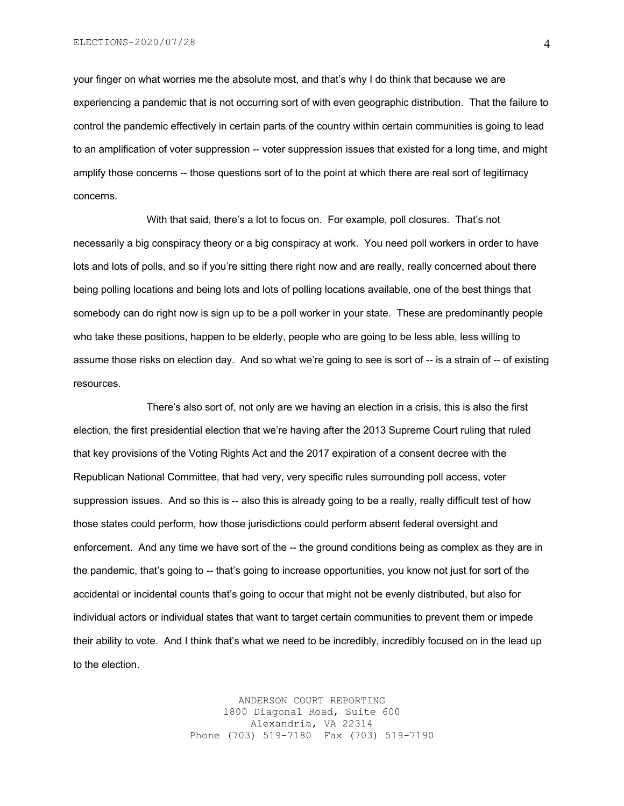your finger on what worries me the absolute most, and that's why I do think that because we are experiencing a pandemic that is not occurring sort of with even geographic distribution. That the failure to control the pandemic effectively in certain parts of the country within certain communities is going to lead to an amplification of voter suppression -- voter suppression issues that existed for a long time, and might amplify those concerns -- those questions sort of to the point at which there are real sort of legitimacy concerns.

With that said, there's a lot to focus on. For example, poll closures. That's not necessarily a big conspiracy theory or a big conspiracy at work. You need poll workers in order to have lots and lots of polls, and so if you're sitting there right now and are really, really concerned about there being polling locations and being lots and lots of polling locations available, one of the best things that somebody can do right now is sign up to be a poll worker in your state. These are predominantly people who take these positions, happen to be elderly, people who are going to be less able, less willing to assume those risks on election day. And so what we're going to see is sort of -- is a strain of -- of existing resources.

There's also sort of, not only are we having an election in a crisis, this is also the first election, the first presidential election that we're having after the 2013 Supreme Court ruling that ruled that key provisions of the Voting Rights Act and the 2017 expiration of a consent decree with the Republican National Committee, that had very, very specific rules surrounding poll access, voter suppression issues. And so this is -- also this is already going to be a really, really difficult test of how those states could perform, how those jurisdictions could perform absent federal oversight and enforcement. And any time we have sort of the -- the ground conditions being as complex as they are in the pandemic, that's going to -- that's going to increase opportunities, you know not just for sort of the accidental or incidental counts that's going to occur that might not be evenly distributed, but also for individual actors or individual states that want to target certain communities to prevent them or impede their ability to vote. And I think that's what we need to be incredibly, incredibly focused on in the lead up to the election.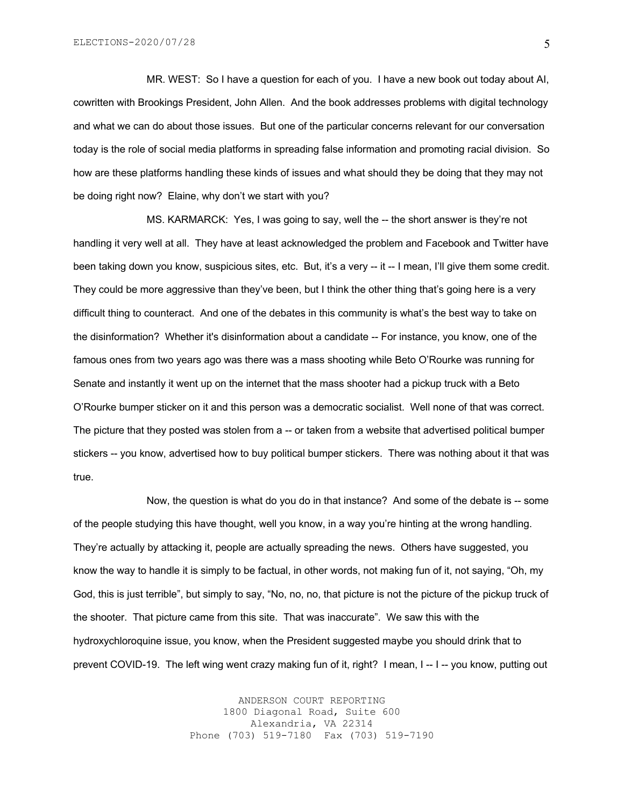MR. WEST: So I have a question for each of you. I have a new book out today about AI, cowritten with Brookings President, John Allen. And the book addresses problems with digital technology and what we can do about those issues. But one of the particular concerns relevant for our conversation today is the role of social media platforms in spreading false information and promoting racial division. So how are these platforms handling these kinds of issues and what should they be doing that they may not be doing right now? Elaine, why don't we start with you?

MS. KARMARCK: Yes, I was going to say, well the -- the short answer is they're not handling it very well at all. They have at least acknowledged the problem and Facebook and Twitter have been taking down you know, suspicious sites, etc. But, it's a very -- it -- I mean, I'll give them some credit. They could be more aggressive than they've been, but I think the other thing that's going here is a very difficult thing to counteract. And one of the debates in this community is what's the best way to take on the disinformation? Whether it's disinformation about a candidate -- For instance, you know, one of the famous ones from two years ago was there was a mass shooting while Beto O'Rourke was running for Senate and instantly it went up on the internet that the mass shooter had a pickup truck with a Beto O'Rourke bumper sticker on it and this person was a democratic socialist. Well none of that was correct. The picture that they posted was stolen from a -- or taken from a website that advertised political bumper stickers -- you know, advertised how to buy political bumper stickers. There was nothing about it that was true.

Now, the question is what do you do in that instance? And some of the debate is -- some of the people studying this have thought, well you know, in a way you're hinting at the wrong handling. They're actually by attacking it, people are actually spreading the news. Others have suggested, you know the way to handle it is simply to be factual, in other words, not making fun of it, not saying, "Oh, my God, this is just terrible", but simply to say, "No, no, no, that picture is not the picture of the pickup truck of the shooter. That picture came from this site. That was inaccurate". We saw this with the hydroxychloroquine issue, you know, when the President suggested maybe you should drink that to prevent COVID-19. The left wing went crazy making fun of it, right? I mean, I -- I -- you know, putting out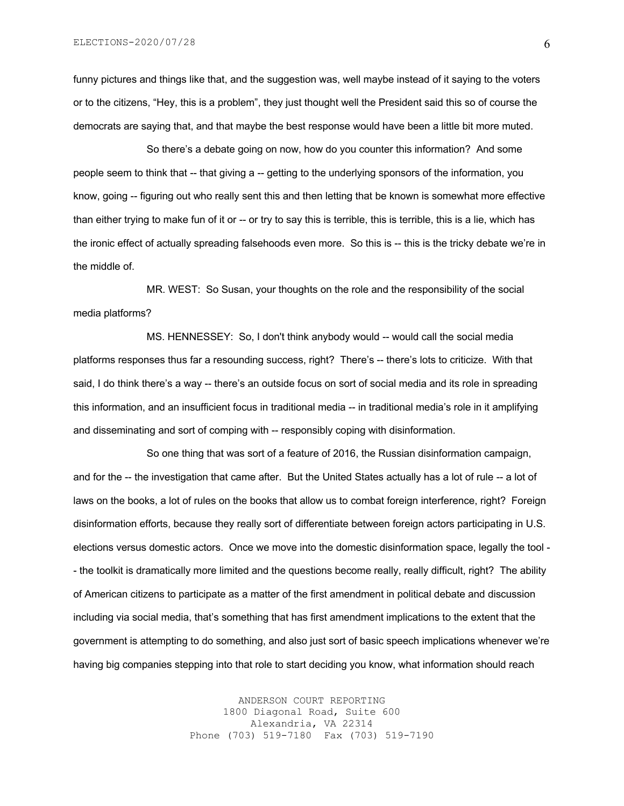ELECTIONS-2020/07/28

funny pictures and things like that, and the suggestion was, well maybe instead of it saying to the voters or to the citizens, "Hey, this is a problem", they just thought well the President said this so of course the democrats are saying that, and that maybe the best response would have been a little bit more muted.

So there's a debate going on now, how do you counter this information? And some people seem to think that -- that giving a -- getting to the underlying sponsors of the information, you know, going -- figuring out who really sent this and then letting that be known is somewhat more effective than either trying to make fun of it or -- or try to say this is terrible, this is terrible, this is a lie, which has the ironic effect of actually spreading falsehoods even more. So this is -- this is the tricky debate we're in the middle of.

MR. WEST: So Susan, your thoughts on the role and the responsibility of the social media platforms?

MS. HENNESSEY: So, I don't think anybody would -- would call the social media platforms responses thus far a resounding success, right? There's -- there's lots to criticize. With that said, I do think there's a way -- there's an outside focus on sort of social media and its role in spreading this information, and an insufficient focus in traditional media -- in traditional media's role in it amplifying and disseminating and sort of comping with -- responsibly coping with disinformation.

So one thing that was sort of a feature of 2016, the Russian disinformation campaign, and for the -- the investigation that came after. But the United States actually has a lot of rule -- a lot of laws on the books, a lot of rules on the books that allow us to combat foreign interference, right? Foreign disinformation efforts, because they really sort of differentiate between foreign actors participating in U.S. elections versus domestic actors. Once we move into the domestic disinformation space, legally the tool - - the toolkit is dramatically more limited and the questions become really, really difficult, right? The ability of American citizens to participate as a matter of the first amendment in political debate and discussion including via social media, that's something that has first amendment implications to the extent that the government is attempting to do something, and also just sort of basic speech implications whenever we're having big companies stepping into that role to start deciding you know, what information should reach

> ANDERSON COURT REPORTING 1800 Diagonal Road, Suite 600 Alexandria, VA 22314 Phone (703) 519-7180 Fax (703) 519-7190

6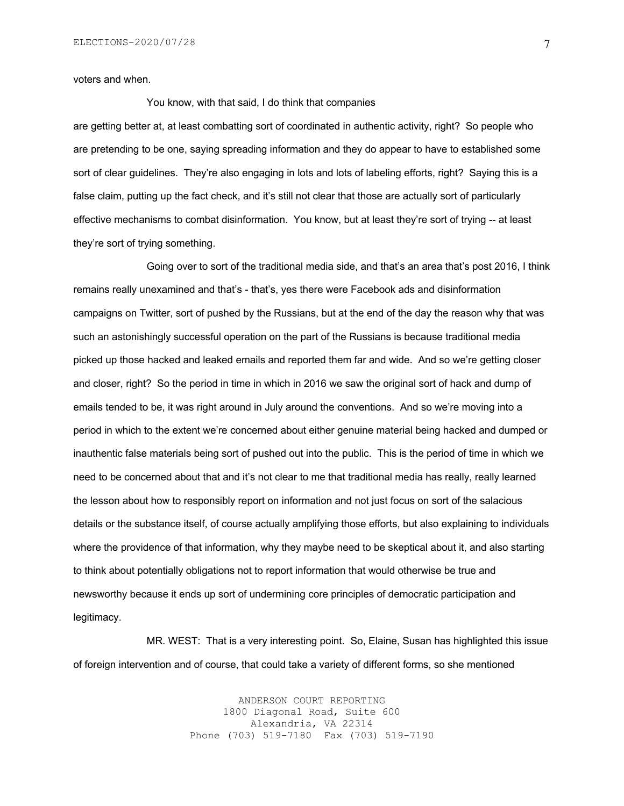voters and when.

You know, with that said, I do think that companies

are getting better at, at least combatting sort of coordinated in authentic activity, right? So people who are pretending to be one, saying spreading information and they do appear to have to established some sort of clear guidelines. They're also engaging in lots and lots of labeling efforts, right? Saying this is a false claim, putting up the fact check, and it's still not clear that those are actually sort of particularly effective mechanisms to combat disinformation. You know, but at least they're sort of trying -- at least they're sort of trying something.

Going over to sort of the traditional media side, and that's an area that's post 2016, I think remains really unexamined and that's - that's, yes there were Facebook ads and disinformation campaigns on Twitter, sort of pushed by the Russians, but at the end of the day the reason why that was such an astonishingly successful operation on the part of the Russians is because traditional media picked up those hacked and leaked emails and reported them far and wide. And so we're getting closer and closer, right? So the period in time in which in 2016 we saw the original sort of hack and dump of emails tended to be, it was right around in July around the conventions. And so we're moving into a period in which to the extent we're concerned about either genuine material being hacked and dumped or inauthentic false materials being sort of pushed out into the public. This is the period of time in which we need to be concerned about that and it's not clear to me that traditional media has really, really learned the lesson about how to responsibly report on information and not just focus on sort of the salacious details or the substance itself, of course actually amplifying those efforts, but also explaining to individuals where the providence of that information, why they maybe need to be skeptical about it, and also starting to think about potentially obligations not to report information that would otherwise be true and newsworthy because it ends up sort of undermining core principles of democratic participation and legitimacy.

MR. WEST: That is a very interesting point. So, Elaine, Susan has highlighted this issue of foreign intervention and of course, that could take a variety of different forms, so she mentioned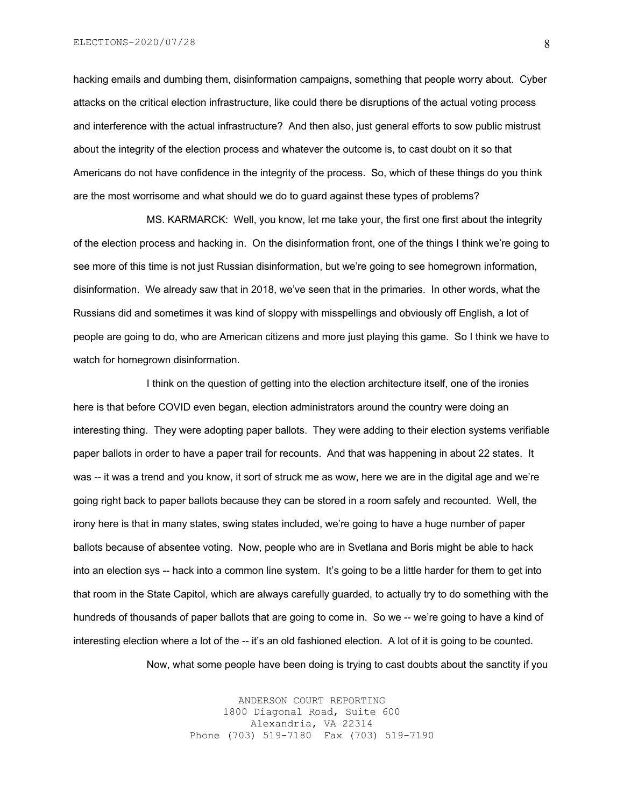hacking emails and dumbing them, disinformation campaigns, something that people worry about. Cyber attacks on the critical election infrastructure, like could there be disruptions of the actual voting process and interference with the actual infrastructure? And then also, just general efforts to sow public mistrust about the integrity of the election process and whatever the outcome is, to cast doubt on it so that Americans do not have confidence in the integrity of the process. So, which of these things do you think are the most worrisome and what should we do to guard against these types of problems?

MS. KARMARCK: Well, you know, let me take your, the first one first about the integrity of the election process and hacking in. On the disinformation front, one of the things I think we're going to see more of this time is not just Russian disinformation, but we're going to see homegrown information, disinformation. We already saw that in 2018, we've seen that in the primaries. In other words, what the Russians did and sometimes it was kind of sloppy with misspellings and obviously off English, a lot of people are going to do, who are American citizens and more just playing this game. So I think we have to watch for homegrown disinformation.

I think on the question of getting into the election architecture itself, one of the ironies here is that before COVID even began, election administrators around the country were doing an interesting thing. They were adopting paper ballots. They were adding to their election systems verifiable paper ballots in order to have a paper trail for recounts. And that was happening in about 22 states. It was -- it was a trend and you know, it sort of struck me as wow, here we are in the digital age and we're going right back to paper ballots because they can be stored in a room safely and recounted. Well, the irony here is that in many states, swing states included, we're going to have a huge number of paper ballots because of absentee voting. Now, people who are in Svetlana and Boris might be able to hack into an election sys -- hack into a common line system. It's going to be a little harder for them to get into that room in the State Capitol, which are always carefully guarded, to actually try to do something with the hundreds of thousands of paper ballots that are going to come in. So we -- we're going to have a kind of interesting election where a lot of the -- it's an old fashioned election. A lot of it is going to be counted.

Now, what some people have been doing is trying to cast doubts about the sanctity if you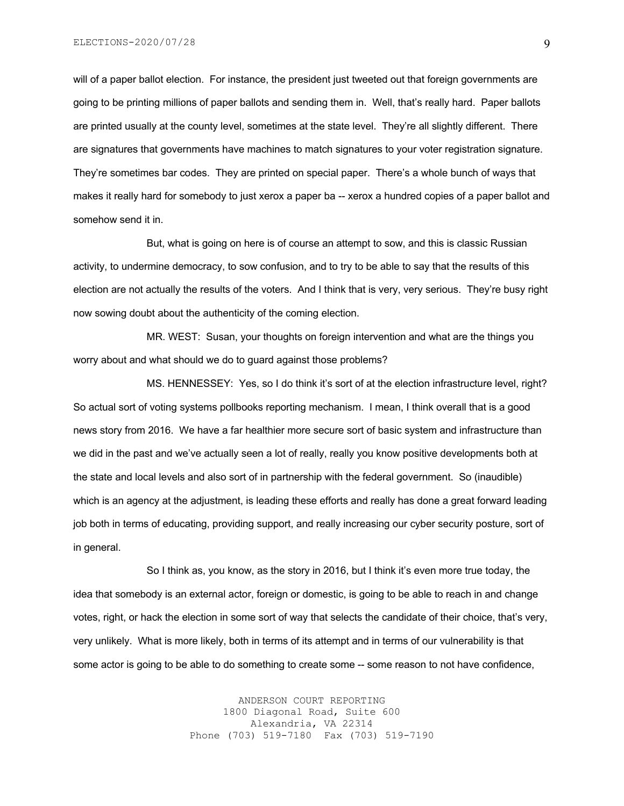will of a paper ballot election. For instance, the president just tweeted out that foreign governments are going to be printing millions of paper ballots and sending them in. Well, that's really hard. Paper ballots are printed usually at the county level, sometimes at the state level. They're all slightly different. There are signatures that governments have machines to match signatures to your voter registration signature. They're sometimes bar codes. They are printed on special paper. There's a whole bunch of ways that makes it really hard for somebody to just xerox a paper ba -- xerox a hundred copies of a paper ballot and somehow send it in.

But, what is going on here is of course an attempt to sow, and this is classic Russian activity, to undermine democracy, to sow confusion, and to try to be able to say that the results of this election are not actually the results of the voters. And I think that is very, very serious. They're busy right now sowing doubt about the authenticity of the coming election.

MR. WEST: Susan, your thoughts on foreign intervention and what are the things you worry about and what should we do to guard against those problems?

MS. HENNESSEY: Yes, so I do think it's sort of at the election infrastructure level, right? So actual sort of voting systems pollbooks reporting mechanism. I mean, I think overall that is a good news story from 2016. We have a far healthier more secure sort of basic system and infrastructure than we did in the past and we've actually seen a lot of really, really you know positive developments both at the state and local levels and also sort of in partnership with the federal government. So (inaudible) which is an agency at the adjustment, is leading these efforts and really has done a great forward leading job both in terms of educating, providing support, and really increasing our cyber security posture, sort of in general.

So I think as, you know, as the story in 2016, but I think it's even more true today, the idea that somebody is an external actor, foreign or domestic, is going to be able to reach in and change votes, right, or hack the election in some sort of way that selects the candidate of their choice, that's very, very unlikely. What is more likely, both in terms of its attempt and in terms of our vulnerability is that some actor is going to be able to do something to create some -- some reason to not have confidence,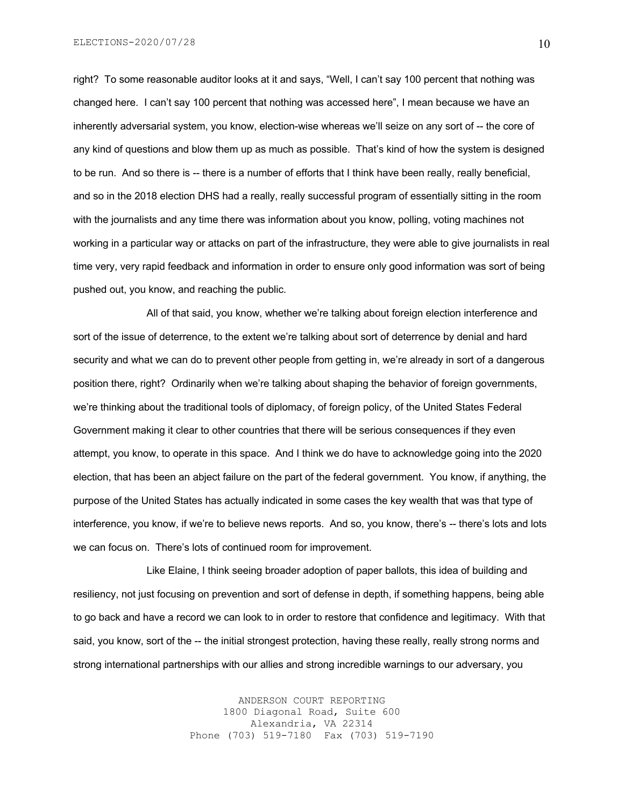right? To some reasonable auditor looks at it and says, "Well, I can't say 100 percent that nothing was changed here. I can't say 100 percent that nothing was accessed here", I mean because we have an inherently adversarial system, you know, election-wise whereas we'll seize on any sort of -- the core of any kind of questions and blow them up as much as possible. That's kind of how the system is designed to be run. And so there is -- there is a number of efforts that I think have been really, really beneficial, and so in the 2018 election DHS had a really, really successful program of essentially sitting in the room with the journalists and any time there was information about you know, polling, voting machines not working in a particular way or attacks on part of the infrastructure, they were able to give journalists in real time very, very rapid feedback and information in order to ensure only good information was sort of being pushed out, you know, and reaching the public.

All of that said, you know, whether we're talking about foreign election interference and sort of the issue of deterrence, to the extent we're talking about sort of deterrence by denial and hard security and what we can do to prevent other people from getting in, we're already in sort of a dangerous position there, right? Ordinarily when we're talking about shaping the behavior of foreign governments, we're thinking about the traditional tools of diplomacy, of foreign policy, of the United States Federal Government making it clear to other countries that there will be serious consequences if they even attempt, you know, to operate in this space. And I think we do have to acknowledge going into the 2020 election, that has been an abject failure on the part of the federal government. You know, if anything, the purpose of the United States has actually indicated in some cases the key wealth that was that type of interference, you know, if we're to believe news reports. And so, you know, there's -- there's lots and lots we can focus on. There's lots of continued room for improvement.

Like Elaine, I think seeing broader adoption of paper ballots, this idea of building and resiliency, not just focusing on prevention and sort of defense in depth, if something happens, being able to go back and have a record we can look to in order to restore that confidence and legitimacy. With that said, you know, sort of the -- the initial strongest protection, having these really, really strong norms and strong international partnerships with our allies and strong incredible warnings to our adversary, you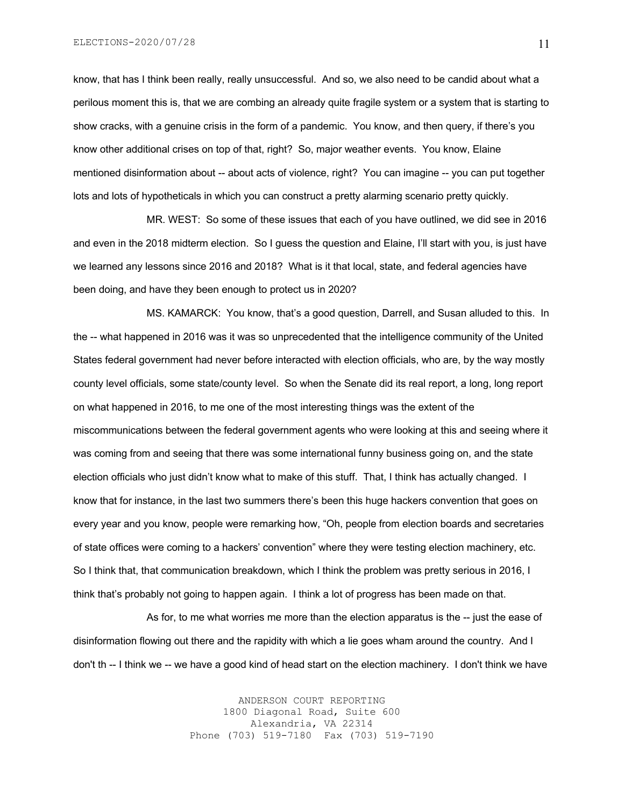know, that has I think been really, really unsuccessful. And so, we also need to be candid about what a perilous moment this is, that we are combing an already quite fragile system or a system that is starting to show cracks, with a genuine crisis in the form of a pandemic. You know, and then query, if there's you know other additional crises on top of that, right? So, major weather events. You know, Elaine mentioned disinformation about -- about acts of violence, right? You can imagine -- you can put together lots and lots of hypotheticals in which you can construct a pretty alarming scenario pretty quickly.

MR. WEST: So some of these issues that each of you have outlined, we did see in 2016 and even in the 2018 midterm election. So I guess the question and Elaine, I'll start with you, is just have we learned any lessons since 2016 and 2018? What is it that local, state, and federal agencies have been doing, and have they been enough to protect us in 2020?

MS. KAMARCK: You know, that's a good question, Darrell, and Susan alluded to this. In the -- what happened in 2016 was it was so unprecedented that the intelligence community of the United States federal government had never before interacted with election officials, who are, by the way mostly county level officials, some state/county level. So when the Senate did its real report, a long, long report on what happened in 2016, to me one of the most interesting things was the extent of the miscommunications between the federal government agents who were looking at this and seeing where it was coming from and seeing that there was some international funny business going on, and the state election officials who just didn't know what to make of this stuff. That, I think has actually changed. I know that for instance, in the last two summers there's been this huge hackers convention that goes on every year and you know, people were remarking how, "Oh, people from election boards and secretaries of state offices were coming to a hackers' convention" where they were testing election machinery, etc. So I think that, that communication breakdown, which I think the problem was pretty serious in 2016, I think that's probably not going to happen again. I think a lot of progress has been made on that.

As for, to me what worries me more than the election apparatus is the -- just the ease of disinformation flowing out there and the rapidity with which a lie goes wham around the country. And I don't th -- I think we -- we have a good kind of head start on the election machinery. I don't think we have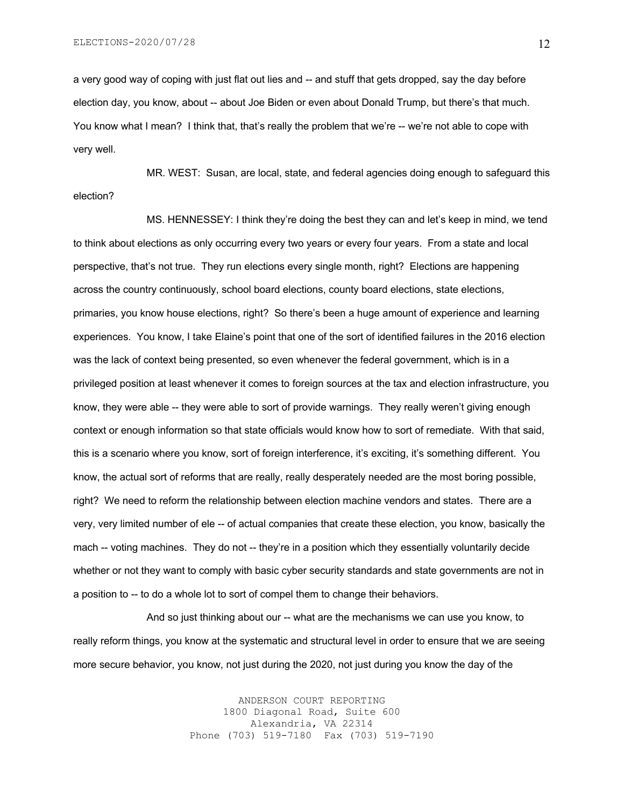a very good way of coping with just flat out lies and -- and stuff that gets dropped, say the day before election day, you know, about -- about Joe Biden or even about Donald Trump, but there's that much. You know what I mean? I think that, that's really the problem that we're -- we're not able to cope with very well.

MR. WEST: Susan, are local, state, and federal agencies doing enough to safeguard this election?

MS. HENNESSEY: I think they're doing the best they can and let's keep in mind, we tend to think about elections as only occurring every two years or every four years. From a state and local perspective, that's not true. They run elections every single month, right? Elections are happening across the country continuously, school board elections, county board elections, state elections, primaries, you know house elections, right? So there's been a huge amount of experience and learning experiences. You know, I take Elaine's point that one of the sort of identified failures in the 2016 election was the lack of context being presented, so even whenever the federal government, which is in a privileged position at least whenever it comes to foreign sources at the tax and election infrastructure, you know, they were able -- they were able to sort of provide warnings. They really weren't giving enough context or enough information so that state officials would know how to sort of remediate. With that said, this is a scenario where you know, sort of foreign interference, it's exciting, it's something different. You know, the actual sort of reforms that are really, really desperately needed are the most boring possible, right? We need to reform the relationship between election machine vendors and states. There are a very, very limited number of ele -- of actual companies that create these election, you know, basically the mach -- voting machines. They do not -- they're in a position which they essentially voluntarily decide whether or not they want to comply with basic cyber security standards and state governments are not in a position to -- to do a whole lot to sort of compel them to change their behaviors.

And so just thinking about our -- what are the mechanisms we can use you know, to really reform things, you know at the systematic and structural level in order to ensure that we are seeing more secure behavior, you know, not just during the 2020, not just during you know the day of the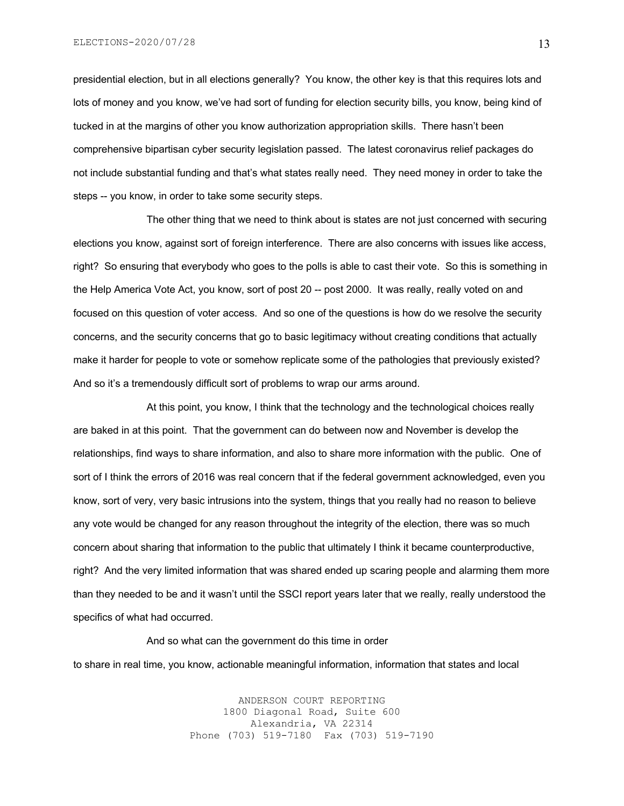presidential election, but in all elections generally? You know, the other key is that this requires lots and lots of money and you know, we've had sort of funding for election security bills, you know, being kind of tucked in at the margins of other you know authorization appropriation skills. There hasn't been comprehensive bipartisan cyber security legislation passed. The latest coronavirus relief packages do not include substantial funding and that's what states really need. They need money in order to take the steps -- you know, in order to take some security steps.

The other thing that we need to think about is states are not just concerned with securing elections you know, against sort of foreign interference. There are also concerns with issues like access, right? So ensuring that everybody who goes to the polls is able to cast their vote. So this is something in the Help America Vote Act, you know, sort of post 20 -- post 2000. It was really, really voted on and focused on this question of voter access. And so one of the questions is how do we resolve the security concerns, and the security concerns that go to basic legitimacy without creating conditions that actually make it harder for people to vote or somehow replicate some of the pathologies that previously existed? And so it's a tremendously difficult sort of problems to wrap our arms around.

At this point, you know, I think that the technology and the technological choices really are baked in at this point. That the government can do between now and November is develop the relationships, find ways to share information, and also to share more information with the public. One of sort of I think the errors of 2016 was real concern that if the federal government acknowledged, even you know, sort of very, very basic intrusions into the system, things that you really had no reason to believe any vote would be changed for any reason throughout the integrity of the election, there was so much concern about sharing that information to the public that ultimately I think it became counterproductive, right? And the very limited information that was shared ended up scaring people and alarming them more than they needed to be and it wasn't until the SSCI report years later that we really, really understood the specifics of what had occurred.

#### And so what can the government do this time in order

to share in real time, you know, actionable meaningful information, information that states and local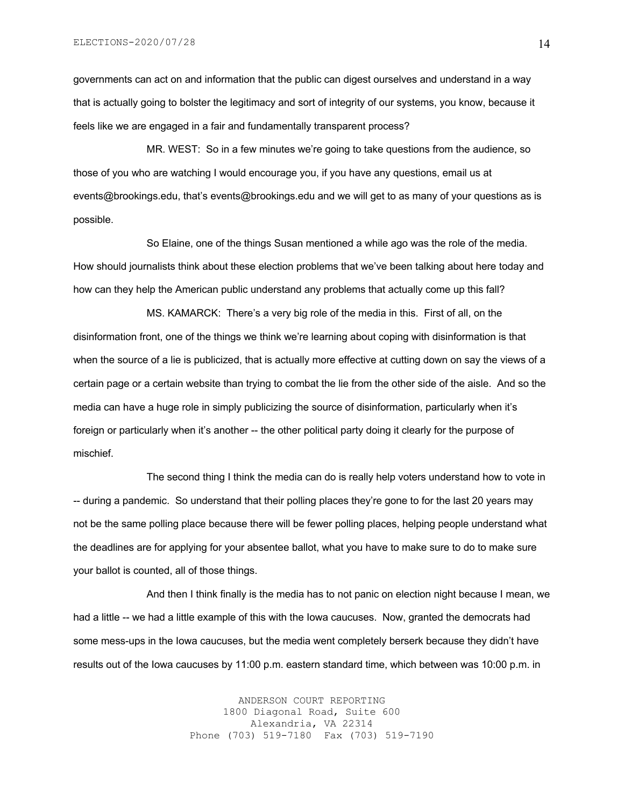governments can act on and information that the public can digest ourselves and understand in a way that is actually going to bolster the legitimacy and sort of integrity of our systems, you know, because it feels like we are engaged in a fair and fundamentally transparent process?

MR. WEST: So in a few minutes we're going to take questions from the audience, so those of you who are watching I would encourage you, if you have any questions, email us at events@brookings.edu, that's events@brookings.edu and we will get to as many of your questions as is possible.

So Elaine, one of the things Susan mentioned a while ago was the role of the media. How should journalists think about these election problems that we've been talking about here today and how can they help the American public understand any problems that actually come up this fall?

MS. KAMARCK: There's a very big role of the media in this. First of all, on the disinformation front, one of the things we think we're learning about coping with disinformation is that when the source of a lie is publicized, that is actually more effective at cutting down on say the views of a certain page or a certain website than trying to combat the lie from the other side of the aisle. And so the media can have a huge role in simply publicizing the source of disinformation, particularly when it's foreign or particularly when it's another -- the other political party doing it clearly for the purpose of mischief.

The second thing I think the media can do is really help voters understand how to vote in -- during a pandemic. So understand that their polling places they're gone to for the last 20 years may not be the same polling place because there will be fewer polling places, helping people understand what the deadlines are for applying for your absentee ballot, what you have to make sure to do to make sure your ballot is counted, all of those things.

And then I think finally is the media has to not panic on election night because I mean, we had a little -- we had a little example of this with the Iowa caucuses. Now, granted the democrats had some mess-ups in the Iowa caucuses, but the media went completely berserk because they didn't have results out of the Iowa caucuses by 11:00 p.m. eastern standard time, which between was 10:00 p.m. in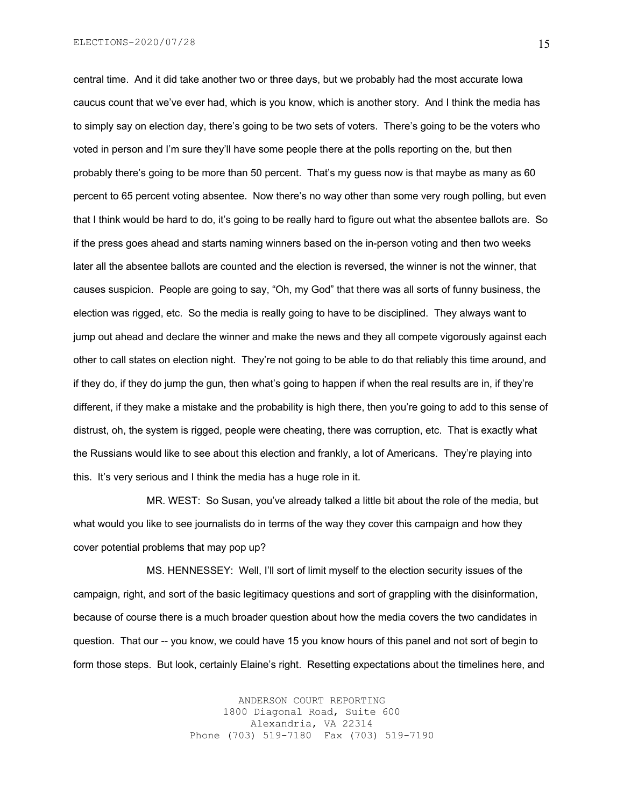central time. And it did take another two or three days, but we probably had the most accurate Iowa caucus count that we've ever had, which is you know, which is another story. And I think the media has to simply say on election day, there's going to be two sets of voters. There's going to be the voters who voted in person and I'm sure they'll have some people there at the polls reporting on the, but then probably there's going to be more than 50 percent. That's my guess now is that maybe as many as 60 percent to 65 percent voting absentee. Now there's no way other than some very rough polling, but even that I think would be hard to do, it's going to be really hard to figure out what the absentee ballots are. So if the press goes ahead and starts naming winners based on the in-person voting and then two weeks later all the absentee ballots are counted and the election is reversed, the winner is not the winner, that causes suspicion. People are going to say, "Oh, my God" that there was all sorts of funny business, the election was rigged, etc. So the media is really going to have to be disciplined. They always want to jump out ahead and declare the winner and make the news and they all compete vigorously against each other to call states on election night. They're not going to be able to do that reliably this time around, and if they do, if they do jump the gun, then what's going to happen if when the real results are in, if they're different, if they make a mistake and the probability is high there, then you're going to add to this sense of distrust, oh, the system is rigged, people were cheating, there was corruption, etc. That is exactly what the Russians would like to see about this election and frankly, a lot of Americans. They're playing into this. It's very serious and I think the media has a huge role in it.

MR. WEST: So Susan, you've already talked a little bit about the role of the media, but what would you like to see journalists do in terms of the way they cover this campaign and how they cover potential problems that may pop up?

MS. HENNESSEY: Well, I'll sort of limit myself to the election security issues of the campaign, right, and sort of the basic legitimacy questions and sort of grappling with the disinformation, because of course there is a much broader question about how the media covers the two candidates in question. That our -- you know, we could have 15 you know hours of this panel and not sort of begin to form those steps. But look, certainly Elaine's right. Resetting expectations about the timelines here, and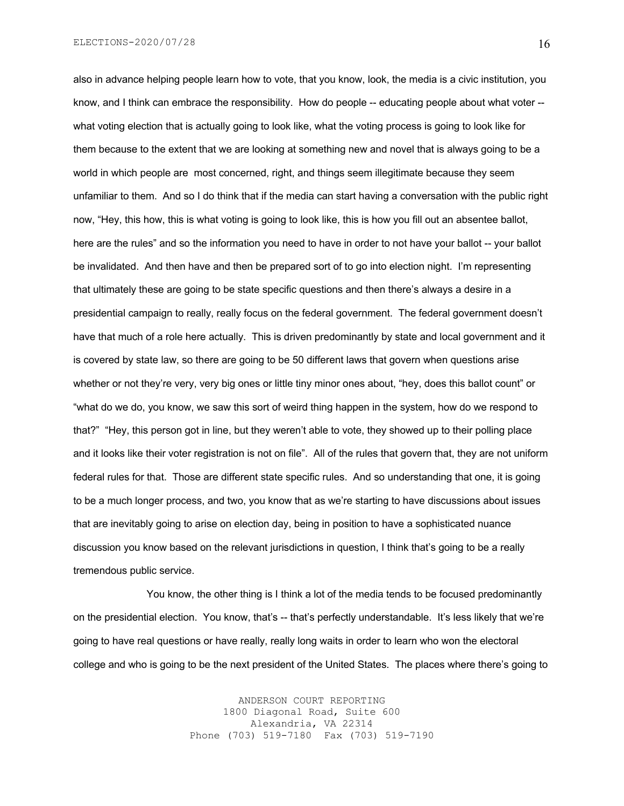ELECTIONS-2020/07/28

also in advance helping people learn how to vote, that you know, look, the media is a civic institution, you know, and I think can embrace the responsibility. How do people -- educating people about what voter - what voting election that is actually going to look like, what the voting process is going to look like for them because to the extent that we are looking at something new and novel that is always going to be a world in which people are most concerned, right, and things seem illegitimate because they seem unfamiliar to them. And so I do think that if the media can start having a conversation with the public right now, "Hey, this how, this is what voting is going to look like, this is how you fill out an absentee ballot, here are the rules" and so the information you need to have in order to not have your ballot -- your ballot be invalidated. And then have and then be prepared sort of to go into election night. I'm representing that ultimately these are going to be state specific questions and then there's always a desire in a presidential campaign to really, really focus on the federal government. The federal government doesn't have that much of a role here actually. This is driven predominantly by state and local government and it is covered by state law, so there are going to be 50 different laws that govern when questions arise whether or not they're very, very big ones or little tiny minor ones about, "hey, does this ballot count" or "what do we do, you know, we saw this sort of weird thing happen in the system, how do we respond to that?" "Hey, this person got in line, but they weren't able to vote, they showed up to their polling place and it looks like their voter registration is not on file". All of the rules that govern that, they are not uniform federal rules for that. Those are different state specific rules. And so understanding that one, it is going to be a much longer process, and two, you know that as we're starting to have discussions about issues that are inevitably going to arise on election day, being in position to have a sophisticated nuance discussion you know based on the relevant jurisdictions in question, I think that's going to be a really tremendous public service.

You know, the other thing is I think a lot of the media tends to be focused predominantly on the presidential election. You know, that's -- that's perfectly understandable. It's less likely that we're going to have real questions or have really, really long waits in order to learn who won the electoral college and who is going to be the next president of the United States. The places where there's going to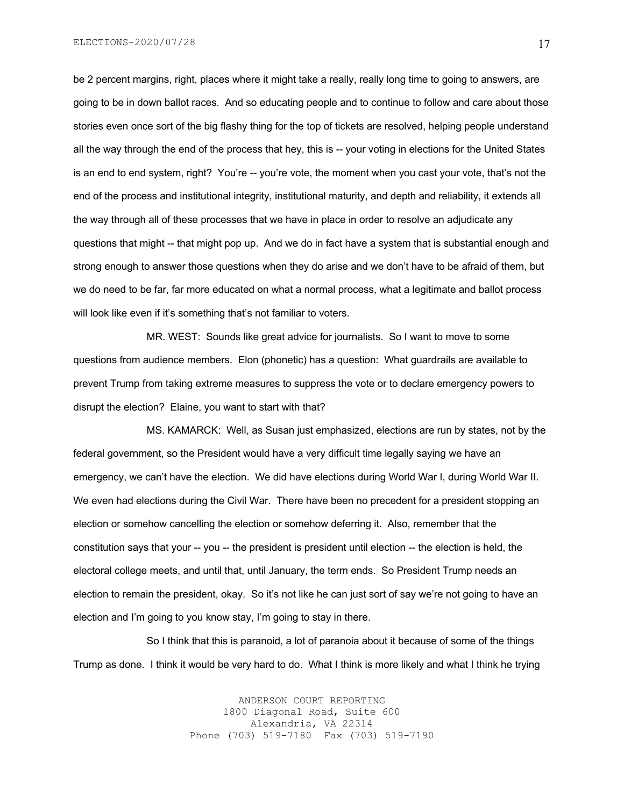be 2 percent margins, right, places where it might take a really, really long time to going to answers, are going to be in down ballot races. And so educating people and to continue to follow and care about those stories even once sort of the big flashy thing for the top of tickets are resolved, helping people understand all the way through the end of the process that hey, this is -- your voting in elections for the United States is an end to end system, right? You're -- you're vote, the moment when you cast your vote, that's not the end of the process and institutional integrity, institutional maturity, and depth and reliability, it extends all the way through all of these processes that we have in place in order to resolve an adjudicate any questions that might -- that might pop up. And we do in fact have a system that is substantial enough and strong enough to answer those questions when they do arise and we don't have to be afraid of them, but we do need to be far, far more educated on what a normal process, what a legitimate and ballot process will look like even if it's something that's not familiar to voters.

MR. WEST: Sounds like great advice for journalists. So I want to move to some questions from audience members. Elon (phonetic) has a question: What guardrails are available to prevent Trump from taking extreme measures to suppress the vote or to declare emergency powers to disrupt the election? Elaine, you want to start with that?

MS. KAMARCK: Well, as Susan just emphasized, elections are run by states, not by the federal government, so the President would have a very difficult time legally saying we have an emergency, we can't have the election. We did have elections during World War I, during World War II. We even had elections during the Civil War. There have been no precedent for a president stopping an election or somehow cancelling the election or somehow deferring it. Also, remember that the constitution says that your -- you -- the president is president until election -- the election is held, the electoral college meets, and until that, until January, the term ends. So President Trump needs an election to remain the president, okay. So it's not like he can just sort of say we're not going to have an election and I'm going to you know stay, I'm going to stay in there.

So I think that this is paranoid, a lot of paranoia about it because of some of the things Trump as done. I think it would be very hard to do. What I think is more likely and what I think he trying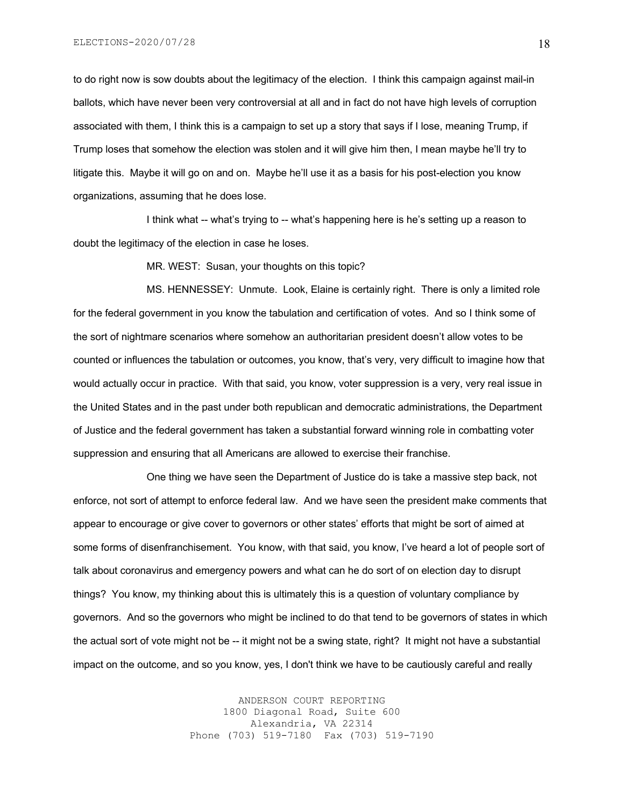to do right now is sow doubts about the legitimacy of the election. I think this campaign against mail-in ballots, which have never been very controversial at all and in fact do not have high levels of corruption associated with them, I think this is a campaign to set up a story that says if I lose, meaning Trump, if Trump loses that somehow the election was stolen and it will give him then, I mean maybe he'll try to litigate this. Maybe it will go on and on. Maybe he'll use it as a basis for his post-election you know organizations, assuming that he does lose.

I think what -- what's trying to -- what's happening here is he's setting up a reason to doubt the legitimacy of the election in case he loses.

MR. WEST: Susan, your thoughts on this topic?

MS. HENNESSEY: Unmute. Look, Elaine is certainly right. There is only a limited role for the federal government in you know the tabulation and certification of votes. And so I think some of the sort of nightmare scenarios where somehow an authoritarian president doesn't allow votes to be counted or influences the tabulation or outcomes, you know, that's very, very difficult to imagine how that would actually occur in practice. With that said, you know, voter suppression is a very, very real issue in the United States and in the past under both republican and democratic administrations, the Department of Justice and the federal government has taken a substantial forward winning role in combatting voter suppression and ensuring that all Americans are allowed to exercise their franchise.

One thing we have seen the Department of Justice do is take a massive step back, not enforce, not sort of attempt to enforce federal law. And we have seen the president make comments that appear to encourage or give cover to governors or other states' efforts that might be sort of aimed at some forms of disenfranchisement. You know, with that said, you know, I've heard a lot of people sort of talk about coronavirus and emergency powers and what can he do sort of on election day to disrupt things? You know, my thinking about this is ultimately this is a question of voluntary compliance by governors. And so the governors who might be inclined to do that tend to be governors of states in which the actual sort of vote might not be -- it might not be a swing state, right? It might not have a substantial impact on the outcome, and so you know, yes, I don't think we have to be cautiously careful and really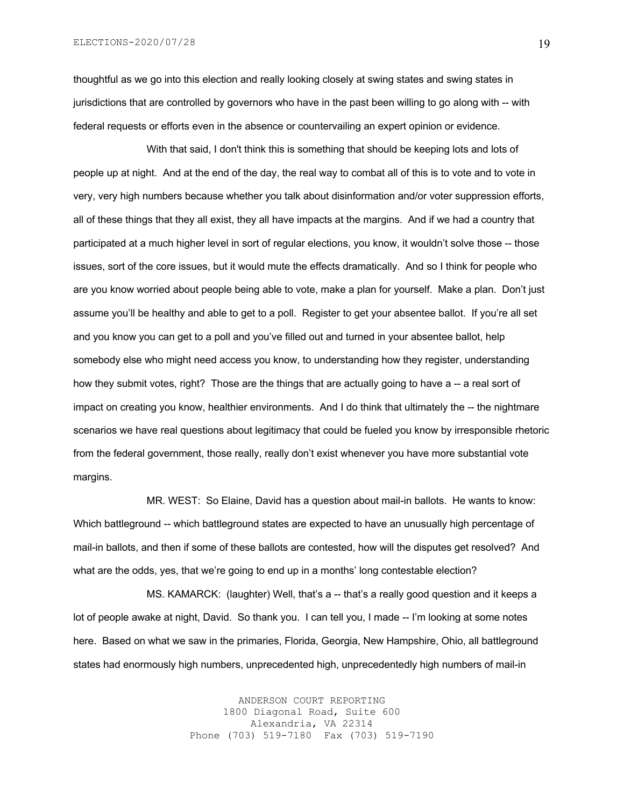ELECTIONS-2020/07/28

thoughtful as we go into this election and really looking closely at swing states and swing states in jurisdictions that are controlled by governors who have in the past been willing to go along with -- with federal requests or efforts even in the absence or countervailing an expert opinion or evidence.

With that said, I don't think this is something that should be keeping lots and lots of people up at night. And at the end of the day, the real way to combat all of this is to vote and to vote in very, very high numbers because whether you talk about disinformation and/or voter suppression efforts, all of these things that they all exist, they all have impacts at the margins. And if we had a country that participated at a much higher level in sort of regular elections, you know, it wouldn't solve those -- those issues, sort of the core issues, but it would mute the effects dramatically. And so I think for people who are you know worried about people being able to vote, make a plan for yourself. Make a plan. Don't just assume you'll be healthy and able to get to a poll. Register to get your absentee ballot. If you're all set and you know you can get to a poll and you've filled out and turned in your absentee ballot, help somebody else who might need access you know, to understanding how they register, understanding how they submit votes, right? Those are the things that are actually going to have a -- a real sort of impact on creating you know, healthier environments. And I do think that ultimately the -- the nightmare scenarios we have real questions about legitimacy that could be fueled you know by irresponsible rhetoric from the federal government, those really, really don't exist whenever you have more substantial vote margins.

MR. WEST: So Elaine, David has a question about mail-in ballots. He wants to know: Which battleground -- which battleground states are expected to have an unusually high percentage of mail-in ballots, and then if some of these ballots are contested, how will the disputes get resolved? And what are the odds, yes, that we're going to end up in a months' long contestable election?

MS. KAMARCK: (laughter) Well, that's a -- that's a really good question and it keeps a lot of people awake at night, David. So thank you. I can tell you, I made -- I'm looking at some notes here. Based on what we saw in the primaries, Florida, Georgia, New Hampshire, Ohio, all battleground states had enormously high numbers, unprecedented high, unprecedentedly high numbers of mail-in

> ANDERSON COURT REPORTING 1800 Diagonal Road, Suite 600 Alexandria, VA 22314 Phone (703) 519-7180 Fax (703) 519-7190

19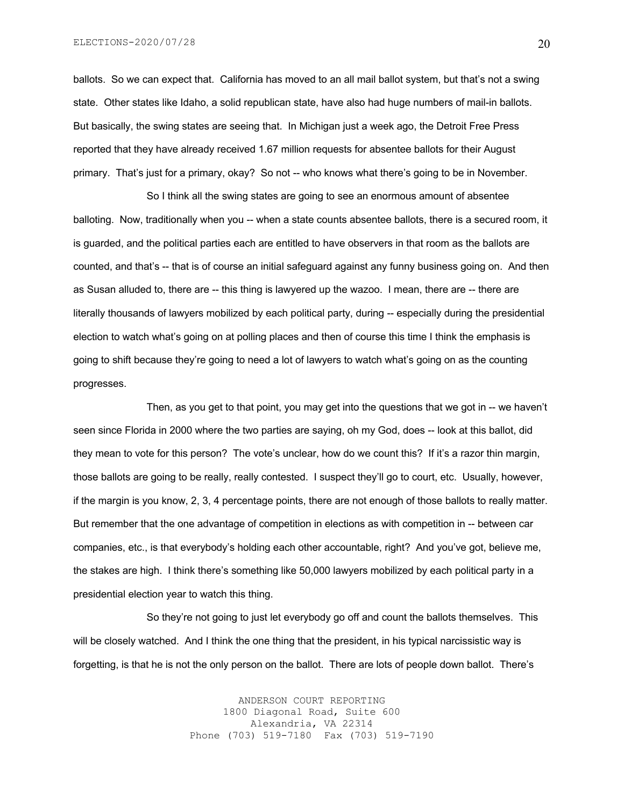ballots. So we can expect that. California has moved to an all mail ballot system, but that's not a swing state. Other states like Idaho, a solid republican state, have also had huge numbers of mail-in ballots. But basically, the swing states are seeing that. In Michigan just a week ago, the Detroit Free Press reported that they have already received 1.67 million requests for absentee ballots for their August primary. That's just for a primary, okay? So not -- who knows what there's going to be in November.

So I think all the swing states are going to see an enormous amount of absentee balloting. Now, traditionally when you -- when a state counts absentee ballots, there is a secured room, it is guarded, and the political parties each are entitled to have observers in that room as the ballots are counted, and that's -- that is of course an initial safeguard against any funny business going on. And then as Susan alluded to, there are -- this thing is lawyered up the wazoo. I mean, there are -- there are literally thousands of lawyers mobilized by each political party, during -- especially during the presidential election to watch what's going on at polling places and then of course this time I think the emphasis is going to shift because they're going to need a lot of lawyers to watch what's going on as the counting progresses.

Then, as you get to that point, you may get into the questions that we got in -- we haven't seen since Florida in 2000 where the two parties are saying, oh my God, does -- look at this ballot, did they mean to vote for this person? The vote's unclear, how do we count this? If it's a razor thin margin, those ballots are going to be really, really contested. I suspect they'll go to court, etc. Usually, however, if the margin is you know, 2, 3, 4 percentage points, there are not enough of those ballots to really matter. But remember that the one advantage of competition in elections as with competition in -- between car companies, etc., is that everybody's holding each other accountable, right? And you've got, believe me, the stakes are high. I think there's something like 50,000 lawyers mobilized by each political party in a presidential election year to watch this thing.

So they're not going to just let everybody go off and count the ballots themselves. This will be closely watched. And I think the one thing that the president, in his typical narcissistic way is forgetting, is that he is not the only person on the ballot. There are lots of people down ballot. There's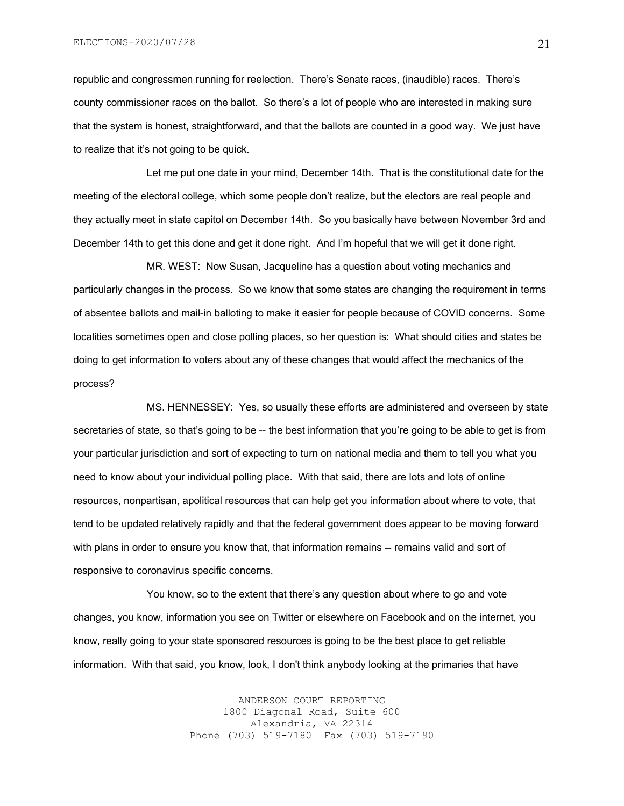republic and congressmen running for reelection. There's Senate races, (inaudible) races. There's county commissioner races on the ballot. So there's a lot of people who are interested in making sure that the system is honest, straightforward, and that the ballots are counted in a good way. We just have to realize that it's not going to be quick.

Let me put one date in your mind, December 14th. That is the constitutional date for the meeting of the electoral college, which some people don't realize, but the electors are real people and they actually meet in state capitol on December 14th. So you basically have between November 3rd and December 14th to get this done and get it done right. And I'm hopeful that we will get it done right.

MR. WEST: Now Susan, Jacqueline has a question about voting mechanics and particularly changes in the process. So we know that some states are changing the requirement in terms of absentee ballots and mail-in balloting to make it easier for people because of COVID concerns. Some localities sometimes open and close polling places, so her question is: What should cities and states be doing to get information to voters about any of these changes that would affect the mechanics of the process?

MS. HENNESSEY: Yes, so usually these efforts are administered and overseen by state secretaries of state, so that's going to be -- the best information that you're going to be able to get is from your particular jurisdiction and sort of expecting to turn on national media and them to tell you what you need to know about your individual polling place. With that said, there are lots and lots of online resources, nonpartisan, apolitical resources that can help get you information about where to vote, that tend to be updated relatively rapidly and that the federal government does appear to be moving forward with plans in order to ensure you know that, that information remains -- remains valid and sort of responsive to coronavirus specific concerns.

You know, so to the extent that there's any question about where to go and vote changes, you know, information you see on Twitter or elsewhere on Facebook and on the internet, you know, really going to your state sponsored resources is going to be the best place to get reliable information. With that said, you know, look, I don't think anybody looking at the primaries that have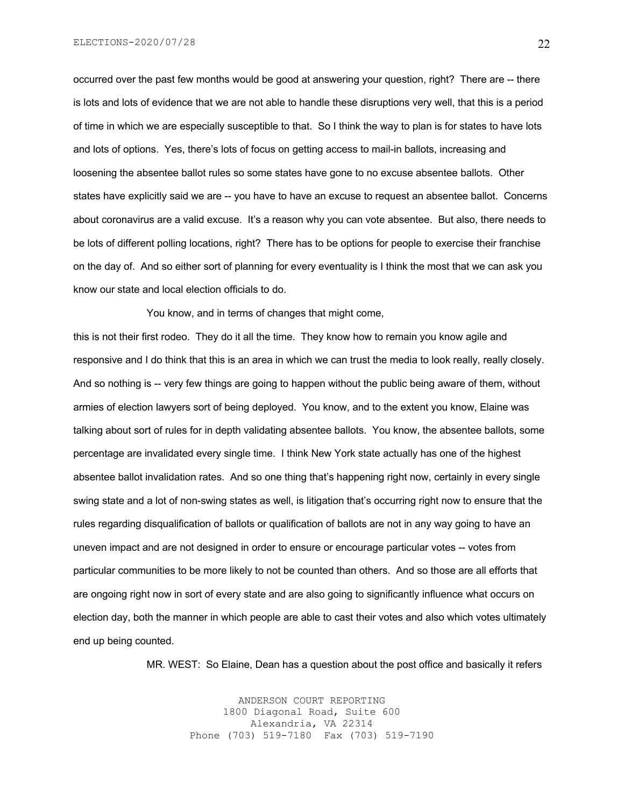ELECTIONS-2020/07/28

occurred over the past few months would be good at answering your question, right? There are -- there is lots and lots of evidence that we are not able to handle these disruptions very well, that this is a period of time in which we are especially susceptible to that. So I think the way to plan is for states to have lots and lots of options. Yes, there's lots of focus on getting access to mail-in ballots, increasing and loosening the absentee ballot rules so some states have gone to no excuse absentee ballots. Other states have explicitly said we are -- you have to have an excuse to request an absentee ballot. Concerns about coronavirus are a valid excuse. It's a reason why you can vote absentee. But also, there needs to be lots of different polling locations, right? There has to be options for people to exercise their franchise on the day of. And so either sort of planning for every eventuality is I think the most that we can ask you know our state and local election officials to do.

You know, and in terms of changes that might come,

this is not their first rodeo. They do it all the time. They know how to remain you know agile and responsive and I do think that this is an area in which we can trust the media to look really, really closely. And so nothing is -- very few things are going to happen without the public being aware of them, without armies of election lawyers sort of being deployed. You know, and to the extent you know, Elaine was talking about sort of rules for in depth validating absentee ballots. You know, the absentee ballots, some percentage are invalidated every single time. I think New York state actually has one of the highest absentee ballot invalidation rates. And so one thing that's happening right now, certainly in every single swing state and a lot of non-swing states as well, is litigation that's occurring right now to ensure that the rules regarding disqualification of ballots or qualification of ballots are not in any way going to have an uneven impact and are not designed in order to ensure or encourage particular votes -- votes from particular communities to be more likely to not be counted than others. And so those are all efforts that are ongoing right now in sort of every state and are also going to significantly influence what occurs on election day, both the manner in which people are able to cast their votes and also which votes ultimately end up being counted.

MR. WEST: So Elaine, Dean has a question about the post office and basically it refers

ANDERSON COURT REPORTING 1800 Diagonal Road, Suite 600 Alexandria, VA 22314 Phone (703) 519-7180 Fax (703) 519-7190 22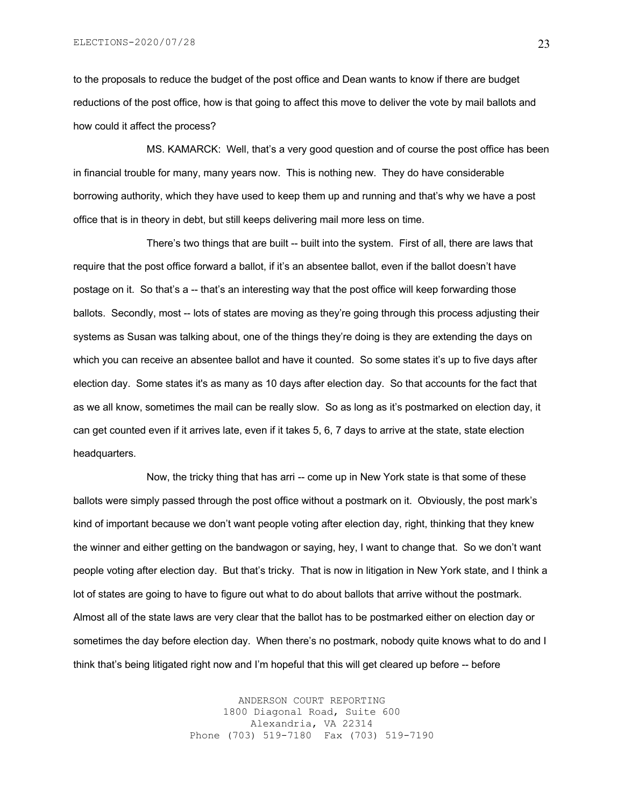to the proposals to reduce the budget of the post office and Dean wants to know if there are budget reductions of the post office, how is that going to affect this move to deliver the vote by mail ballots and how could it affect the process?

MS. KAMARCK: Well, that's a very good question and of course the post office has been in financial trouble for many, many years now. This is nothing new. They do have considerable borrowing authority, which they have used to keep them up and running and that's why we have a post office that is in theory in debt, but still keeps delivering mail more less on time.

There's two things that are built -- built into the system. First of all, there are laws that require that the post office forward a ballot, if it's an absentee ballot, even if the ballot doesn't have postage on it. So that's a -- that's an interesting way that the post office will keep forwarding those ballots. Secondly, most -- lots of states are moving as they're going through this process adjusting their systems as Susan was talking about, one of the things they're doing is they are extending the days on which you can receive an absentee ballot and have it counted. So some states it's up to five days after election day. Some states it's as many as 10 days after election day. So that accounts for the fact that as we all know, sometimes the mail can be really slow. So as long as it's postmarked on election day, it can get counted even if it arrives late, even if it takes 5, 6, 7 days to arrive at the state, state election headquarters.

Now, the tricky thing that has arri -- come up in New York state is that some of these ballots were simply passed through the post office without a postmark on it. Obviously, the post mark's kind of important because we don't want people voting after election day, right, thinking that they knew the winner and either getting on the bandwagon or saying, hey, I want to change that. So we don't want people voting after election day. But that's tricky. That is now in litigation in New York state, and I think a lot of states are going to have to figure out what to do about ballots that arrive without the postmark. Almost all of the state laws are very clear that the ballot has to be postmarked either on election day or sometimes the day before election day. When there's no postmark, nobody quite knows what to do and I think that's being litigated right now and I'm hopeful that this will get cleared up before -- before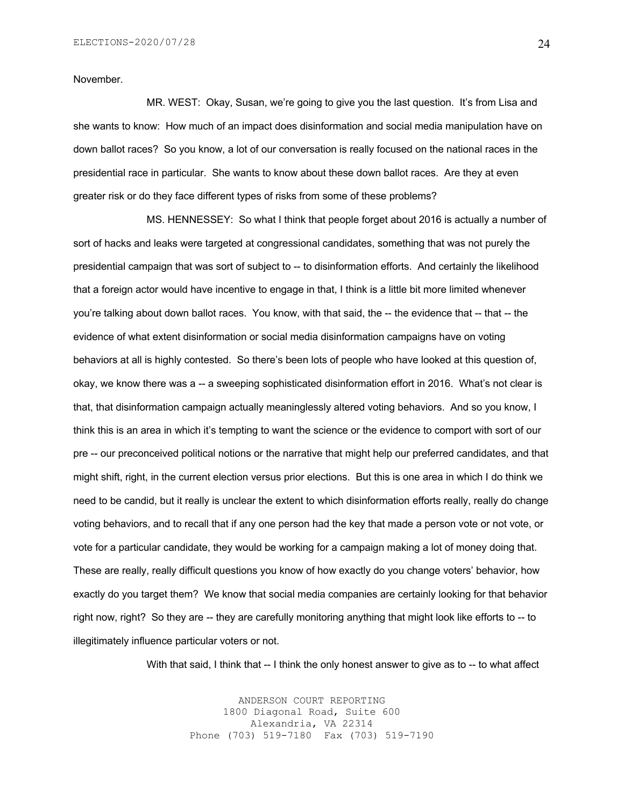November.

MR. WEST: Okay, Susan, we're going to give you the last question. It's from Lisa and she wants to know: How much of an impact does disinformation and social media manipulation have on down ballot races? So you know, a lot of our conversation is really focused on the national races in the presidential race in particular. She wants to know about these down ballot races. Are they at even greater risk or do they face different types of risks from some of these problems?

MS. HENNESSEY: So what I think that people forget about 2016 is actually a number of sort of hacks and leaks were targeted at congressional candidates, something that was not purely the presidential campaign that was sort of subject to -- to disinformation efforts. And certainly the likelihood that a foreign actor would have incentive to engage in that, I think is a little bit more limited whenever you're talking about down ballot races. You know, with that said, the -- the evidence that -- that -- the evidence of what extent disinformation or social media disinformation campaigns have on voting behaviors at all is highly contested. So there's been lots of people who have looked at this question of, okay, we know there was a -- a sweeping sophisticated disinformation effort in 2016. What's not clear is that, that disinformation campaign actually meaninglessly altered voting behaviors. And so you know, I think this is an area in which it's tempting to want the science or the evidence to comport with sort of our pre -- our preconceived political notions or the narrative that might help our preferred candidates, and that might shift, right, in the current election versus prior elections. But this is one area in which I do think we need to be candid, but it really is unclear the extent to which disinformation efforts really, really do change voting behaviors, and to recall that if any one person had the key that made a person vote or not vote, or vote for a particular candidate, they would be working for a campaign making a lot of money doing that. These are really, really difficult questions you know of how exactly do you change voters' behavior, how exactly do you target them? We know that social media companies are certainly looking for that behavior right now, right? So they are -- they are carefully monitoring anything that might look like efforts to -- to illegitimately influence particular voters or not.

With that said, I think that -- I think the only honest answer to give as to -- to what affect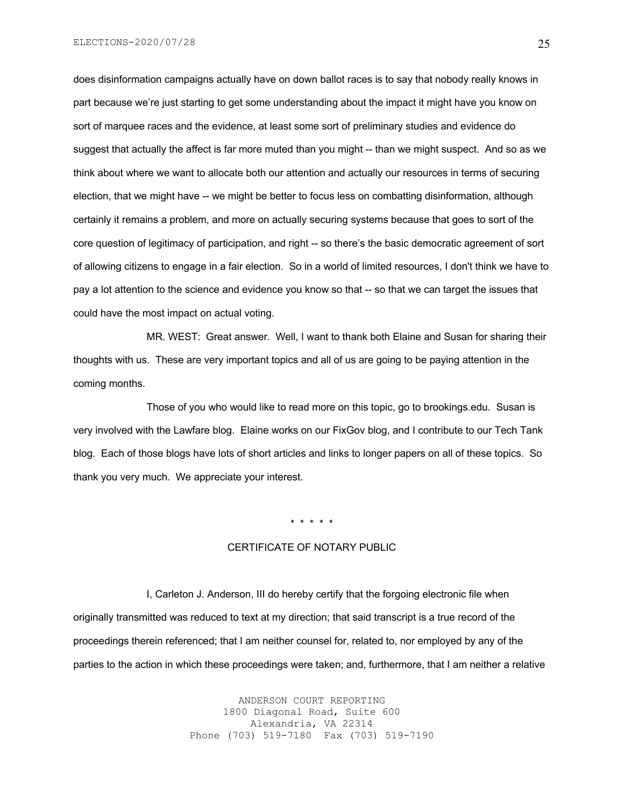does disinformation campaigns actually have on down ballot races is to say that nobody really knows in part because we're just starting to get some understanding about the impact it might have you know on sort of marquee races and the evidence, at least some sort of preliminary studies and evidence do suggest that actually the affect is far more muted than you might -- than we might suspect. And so as we think about where we want to allocate both our attention and actually our resources in terms of securing election, that we might have -- we might be better to focus less on combatting disinformation, although certainly it remains a problem, and more on actually securing systems because that goes to sort of the core question of legitimacy of participation, and right -- so there's the basic democratic agreement of sort of allowing citizens to engage in a fair election. So in a world of limited resources, I don't think we have to pay a lot attention to the science and evidence you know so that -- so that we can target the issues that could have the most impact on actual voting.

MR. WEST: Great answer. Well, I want to thank both Elaine and Susan for sharing their thoughts with us. These are very important topics and all of us are going to be paying attention in the coming months.

Those of you who would like to read more on this topic, go to brookings.edu. Susan is very involved with the Lawfare blog. Elaine works on our FixGov blog, and I contribute to our Tech Tank blog. Each of those blogs have lots of short articles and links to longer papers on all of these topics. So thank you very much. We appreciate your interest.

\* \* \* \* \*

### CERTIFICATE OF NOTARY PUBLIC

I, Carleton J. Anderson, III do hereby certify that the forgoing electronic file when originally transmitted was reduced to text at my direction; that said transcript is a true record of the proceedings therein referenced; that I am neither counsel for, related to, nor employed by any of the parties to the action in which these proceedings were taken; and, furthermore, that I am neither a relative